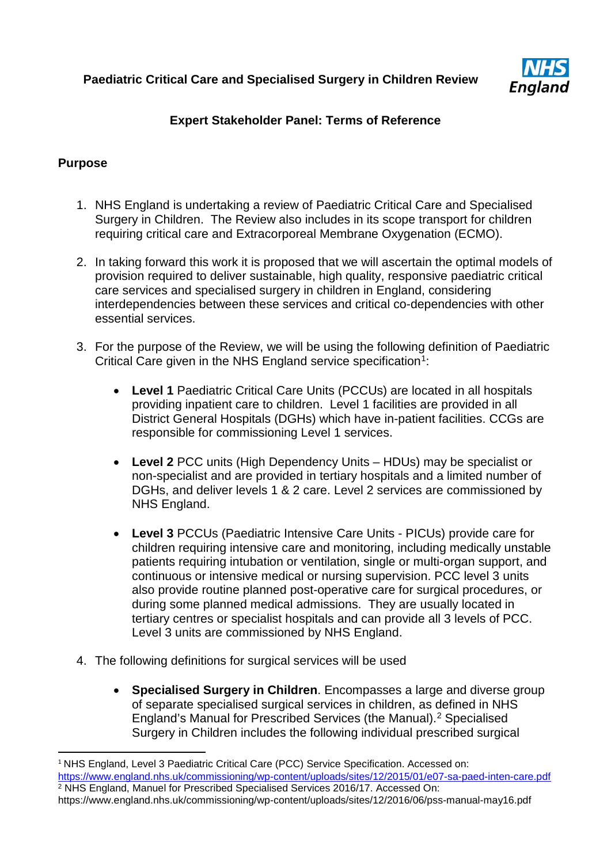

# **Expert Stakeholder Panel: Terms of Reference**

## **Purpose**

- 1. NHS England is undertaking a review of Paediatric Critical Care and Specialised Surgery in Children. The Review also includes in its scope transport for children requiring critical care and Extracorporeal Membrane Oxygenation (ECMO).
- 2. In taking forward this work it is proposed that we will ascertain the optimal models of provision required to deliver sustainable, high quality, responsive paediatric critical care services and specialised surgery in children in England, considering interdependencies between these services and critical co-dependencies with other essential services.
- 3. For the purpose of the Review, we will be using the following definition of Paediatric Critical Care given in the NHS England service specification<sup>[1](#page-0-0)</sup>:
	- **Level 1** Paediatric Critical Care Units (PCCUs) are located in all hospitals providing inpatient care to children. Level 1 facilities are provided in all District General Hospitals (DGHs) which have in-patient facilities. CCGs are responsible for commissioning Level 1 services.
	- **Level 2** PCC units (High Dependency Units HDUs) may be specialist or non-specialist and are provided in tertiary hospitals and a limited number of DGHs, and deliver levels 1 & 2 care. Level 2 services are commissioned by NHS England.
	- **Level 3** PCCUs (Paediatric Intensive Care Units PICUs) provide care for children requiring intensive care and monitoring, including medically unstable patients requiring intubation or ventilation, single or multi-organ support, and continuous or intensive medical or nursing supervision. PCC level 3 units also provide routine planned post-operative care for surgical procedures, or during some planned medical admissions. They are usually located in tertiary centres or specialist hospitals and can provide all 3 levels of PCC. Level 3 units are commissioned by NHS England.
- 4. The following definitions for surgical services will be used
	- **Specialised Surgery in Children**. Encompasses a large and diverse group of separate specialised surgical services in children, as defined in NHS England's Manual for Prescribed Services (the Manual). [2](#page-0-1) Specialised Surgery in Children includes the following individual prescribed surgical

<span id="page-0-0"></span><sup>&</sup>lt;sup>1</sup> NHS England, Level 3 Paediatric Critical Care (PCC) Service Specification. Accessed on: <https://www.england.nhs.uk/commissioning/wp-content/uploads/sites/12/2015/01/e07-sa-paed-inten-care.pdf> <sup>2</sup> NHS England, Manuel for Prescribed Specialised Services 2016/17. Accessed On:

<span id="page-0-1"></span>https://www.england.nhs.uk/commissioning/wp-content/uploads/sites/12/2016/06/pss-manual-may16.pdf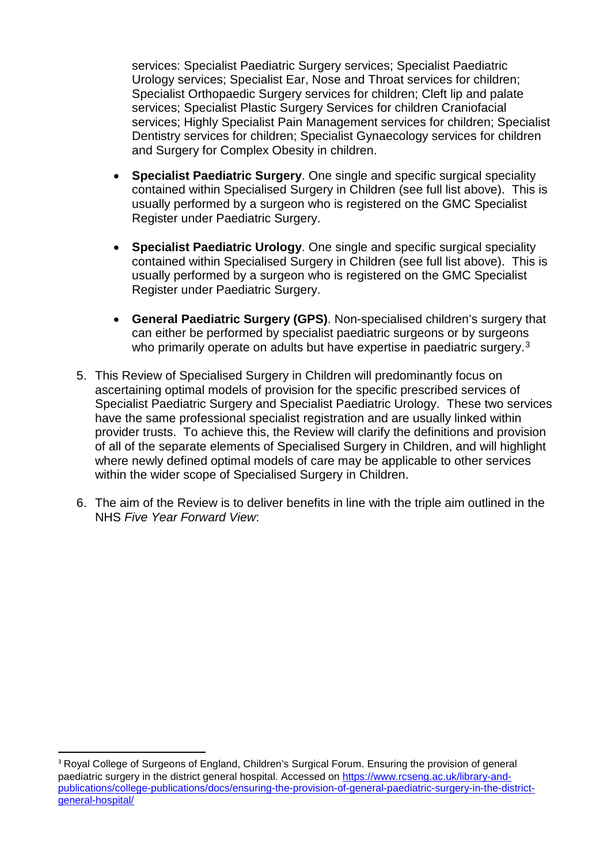services: Specialist Paediatric Surgery services; Specialist Paediatric Urology services; Specialist Ear, Nose and Throat services for children; Specialist Orthopaedic Surgery services for children; Cleft lip and palate services; Specialist Plastic Surgery Services for children Craniofacial services; Highly Specialist Pain Management services for children; Specialist Dentistry services for children; Specialist Gynaecology services for children and Surgery for Complex Obesity in children.

- **Specialist Paediatric Surgery**. One single and specific surgical speciality contained within Specialised Surgery in Children (see full list above). This is usually performed by a surgeon who is registered on the GMC Specialist Register under Paediatric Surgery.
- **Specialist Paediatric Urology**. One single and specific surgical speciality contained within Specialised Surgery in Children (see full list above). This is usually performed by a surgeon who is registered on the GMC Specialist Register under Paediatric Surgery.
- **General Paediatric Surgery (GPS)**. Non-specialised children's surgery that can either be performed by specialist paediatric surgeons or by surgeons who primarily operate on adults but have expertise in paediatric surgery.<sup>[3](#page-1-0)</sup>
- 5. This Review of Specialised Surgery in Children will predominantly focus on ascertaining optimal models of provision for the specific prescribed services of Specialist Paediatric Surgery and Specialist Paediatric Urology. These two services have the same professional specialist registration and are usually linked within provider trusts. To achieve this, the Review will clarify the definitions and provision of all of the separate elements of Specialised Surgery in Children, and will highlight where newly defined optimal models of care may be applicable to other services within the wider scope of Specialised Surgery in Children.
- 6. The aim of the Review is to deliver benefits in line with the triple aim outlined in the NHS *Five Year Forward View*:

<span id="page-1-0"></span><sup>&</sup>lt;sup>3</sup> Royal College of Surgeons of England, Children's Surgical Forum. Ensuring the provision of general paediatric surgery in the district general hospital. Accessed on [https://www.rcseng.ac.uk/library-and](https://www.rcseng.ac.uk/library-and-publications/college-publications/docs/ensuring-the-provision-of-general-paediatric-surgery-in-the-district-general-hospital/)[publications/college-publications/docs/ensuring-the-provision-of-general-paediatric-surgery-in-the-district](https://www.rcseng.ac.uk/library-and-publications/college-publications/docs/ensuring-the-provision-of-general-paediatric-surgery-in-the-district-general-hospital/)[general-hospital/](https://www.rcseng.ac.uk/library-and-publications/college-publications/docs/ensuring-the-provision-of-general-paediatric-surgery-in-the-district-general-hospital/)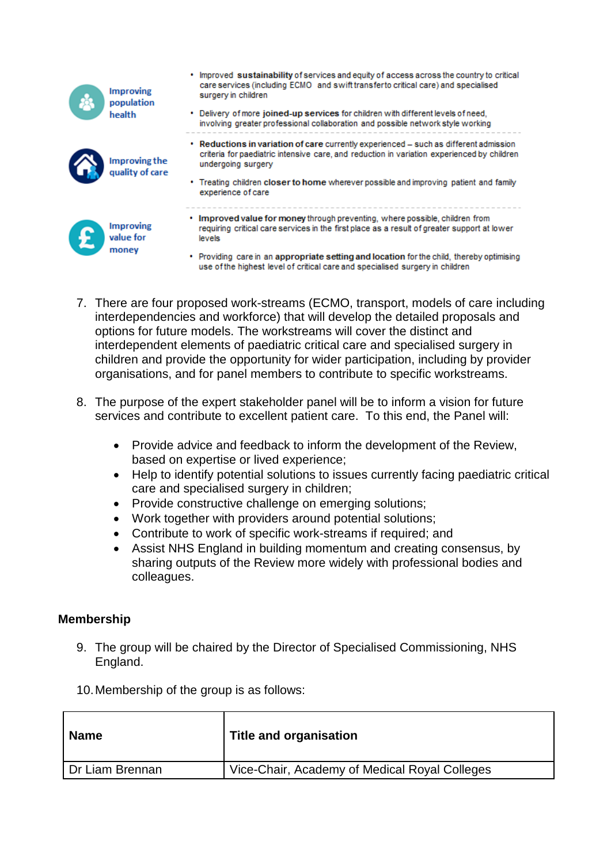| health                    | <b>Improving</b><br>population               | • Improved sustainability of services and equity of access across the country to critical<br>care services (including ECMO and swift transferto critical care) and specialised<br>surgery in children<br>• Delivery of more joined-up services for children with different levels of need.<br>involving greater professional collaboration and possible network style working |
|---------------------------|----------------------------------------------|-------------------------------------------------------------------------------------------------------------------------------------------------------------------------------------------------------------------------------------------------------------------------------------------------------------------------------------------------------------------------------|
|                           | ٠<br><b>Improving the</b><br>quality of care | Reductions in variation of care currently experienced – such as different admission<br>criteria for paediatric intensive care, and reduction in variation experienced by children<br>undergoing surgery<br>• Treating children closer to home wherever possible and improving patient and family<br>experience of care                                                        |
| l £<br>value for<br>money | <b>Improving</b>                             | Improved value for money through preventing, where possible, children from<br>requiring critical care services in the first place as a result of greater support at lower<br>levels<br>Providing care in an appropriate setting and location for the child, thereby optimising<br>use of the highest level of critical care and specialised surgery in children               |

- 7. There are four proposed work-streams (ECMO, transport, models of care including interdependencies and workforce) that will develop the detailed proposals and options for future models. The workstreams will cover the distinct and interdependent elements of paediatric critical care and specialised surgery in children and provide the opportunity for wider participation, including by provider organisations, and for panel members to contribute to specific workstreams.
- 8. The purpose of the expert stakeholder panel will be to inform a vision for future services and contribute to excellent patient care. To this end, the Panel will:
	- Provide advice and feedback to inform the development of the Review, based on expertise or lived experience;
	- Help to identify potential solutions to issues currently facing paediatric critical care and specialised surgery in children;
	- Provide constructive challenge on emerging solutions;
	- Work together with providers around potential solutions;
	- Contribute to work of specific work-streams if required; and
	- Assist NHS England in building momentum and creating consensus, by sharing outputs of the Review more widely with professional bodies and colleagues.

# **Membership**

9. The group will be chaired by the Director of Specialised Commissioning, NHS England.

10.Membership of the group is as follows:

| <b>Name</b>     | <b>Title and organisation</b>                 |
|-----------------|-----------------------------------------------|
| Dr Liam Brennan | Vice-Chair, Academy of Medical Royal Colleges |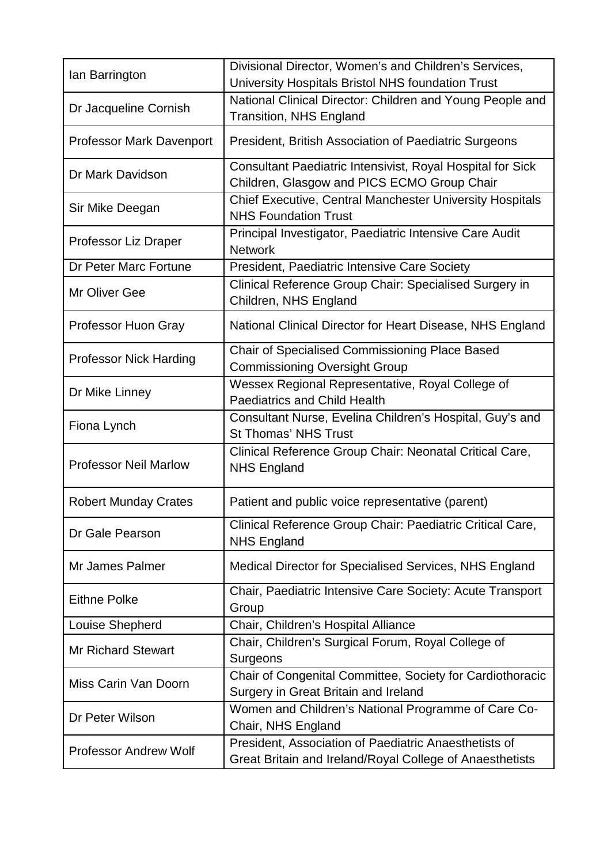| lan Barrington                  | Divisional Director, Women's and Children's Services,<br>University Hospitals Bristol NHS foundation Trust        |
|---------------------------------|-------------------------------------------------------------------------------------------------------------------|
| Dr Jacqueline Cornish           | National Clinical Director: Children and Young People and<br><b>Transition, NHS England</b>                       |
| <b>Professor Mark Davenport</b> | President, British Association of Paediatric Surgeons                                                             |
| Dr Mark Davidson                | Consultant Paediatric Intensivist, Royal Hospital for Sick<br>Children, Glasgow and PICS ECMO Group Chair         |
| Sir Mike Deegan                 | <b>Chief Executive, Central Manchester University Hospitals</b><br><b>NHS Foundation Trust</b>                    |
| Professor Liz Draper            | Principal Investigator, Paediatric Intensive Care Audit<br><b>Network</b>                                         |
| Dr Peter Marc Fortune           | President, Paediatric Intensive Care Society                                                                      |
| Mr Oliver Gee                   | Clinical Reference Group Chair: Specialised Surgery in<br>Children, NHS England                                   |
| Professor Huon Gray             | National Clinical Director for Heart Disease, NHS England                                                         |
| <b>Professor Nick Harding</b>   | Chair of Specialised Commissioning Place Based<br><b>Commissioning Oversight Group</b>                            |
| Dr Mike Linney                  | Wessex Regional Representative, Royal College of<br><b>Paediatrics and Child Health</b>                           |
| Fiona Lynch                     | Consultant Nurse, Evelina Children's Hospital, Guy's and<br><b>St Thomas' NHS Trust</b>                           |
| <b>Professor Neil Marlow</b>    | Clinical Reference Group Chair: Neonatal Critical Care,<br><b>NHS England</b>                                     |
| <b>Robert Munday Crates</b>     | Patient and public voice representative (parent)                                                                  |
| Dr Gale Pearson                 | Clinical Reference Group Chair: Paediatric Critical Care,<br><b>NHS England</b>                                   |
| Mr James Palmer                 | Medical Director for Specialised Services, NHS England                                                            |
| <b>Eithne Polke</b>             | Chair, Paediatric Intensive Care Society: Acute Transport<br>Group                                                |
| Louise Shepherd                 | Chair, Children's Hospital Alliance                                                                               |
| <b>Mr Richard Stewart</b>       | Chair, Children's Surgical Forum, Royal College of<br>Surgeons                                                    |
| Miss Carin Van Doorn            | Chair of Congenital Committee, Society for Cardiothoracic<br>Surgery in Great Britain and Ireland                 |
| Dr Peter Wilson                 | Women and Children's National Programme of Care Co-<br>Chair, NHS England                                         |
| <b>Professor Andrew Wolf</b>    | President, Association of Paediatric Anaesthetists of<br>Great Britain and Ireland/Royal College of Anaesthetists |